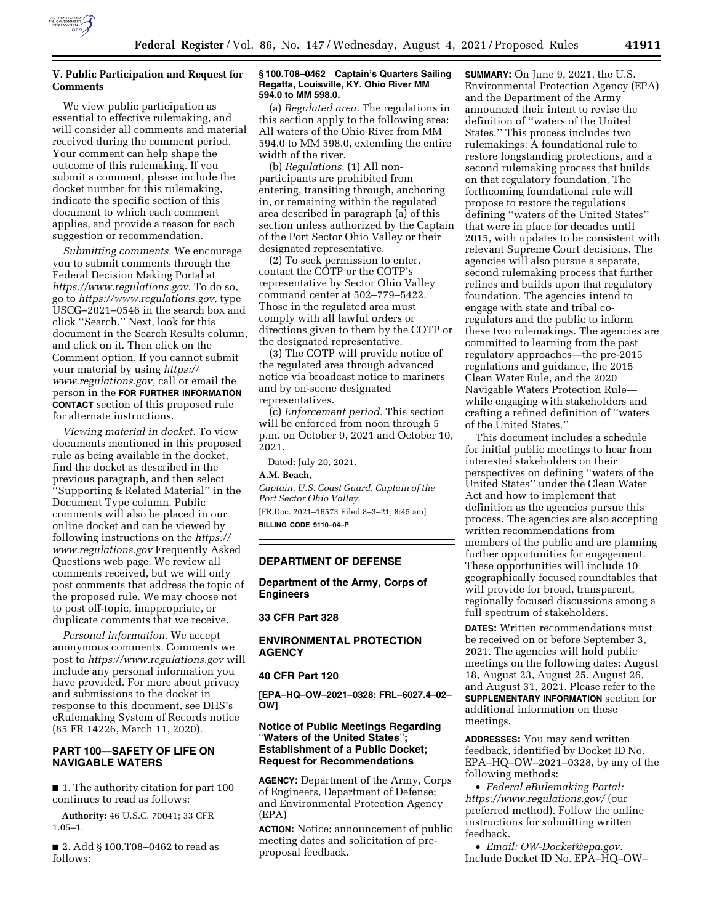

# **V. Public Participation and Request for Comments**

We view public participation as essential to effective rulemaking, and will consider all comments and material received during the comment period. Your comment can help shape the outcome of this rulemaking. If you submit a comment, please include the docket number for this rulemaking, indicate the specific section of this document to which each comment applies, and provide a reason for each suggestion or recommendation.

*Submitting comments.* We encourage you to submit comments through the Federal Decision Making Portal at *[https://www.regulations.gov.](https://www.regulations.gov)* To do so, go to *[https://www.regulations.gov,](https://www.regulations.gov)* type USCG–2021–0546 in the search box and click ''Search.'' Next, look for this document in the Search Results column, and click on it. Then click on the Comment option. If you cannot submit your material by using *[https://](https://www.regulations.gov) [www.regulations.gov,](https://www.regulations.gov)* call or email the person in the **FOR FURTHER INFORMATION CONTACT** section of this proposed rule for alternate instructions.

*Viewing material in docket.* To view documents mentioned in this proposed rule as being available in the docket, find the docket as described in the previous paragraph, and then select ''Supporting & Related Material'' in the Document Type column. Public comments will also be placed in our online docket and can be viewed by following instructions on the *[https://](https://www.regulations.gov) [www.regulations.gov](https://www.regulations.gov)* Frequently Asked Questions web page. We review all comments received, but we will only post comments that address the topic of the proposed rule. We may choose not to post off-topic, inappropriate, or duplicate comments that we receive.

*Personal information.* We accept anonymous comments. Comments we post to *<https://www.regulations.gov>*will include any personal information you have provided. For more about privacy and submissions to the docket in response to this document, see DHS's eRulemaking System of Records notice (85 FR 14226, March 11, 2020).

# **PART 100—SAFETY OF LIFE ON NAVIGABLE WATERS**

■ 1. The authority citation for part 100 continues to read as follows:

**Authority:** 46 U.S.C. 70041; 33 CFR 1.05–1.

■ 2. Add § 100.T08–0462 to read as follows:

#### **§ 100.T08–0462 Captain's Quarters Sailing Regatta, Louisville, KY. Ohio River MM 594.0 to MM 598.0.**

(a) *Regulated area.* The regulations in this section apply to the following area: All waters of the Ohio River from MM 594.0 to MM 598.0, extending the entire width of the river.

(b) *Regulations.* (1) All nonparticipants are prohibited from entering, transiting through, anchoring in, or remaining within the regulated area described in paragraph (a) of this section unless authorized by the Captain of the Port Sector Ohio Valley or their designated representative.

(2) To seek permission to enter, contact the COTP or the COTP's representative by Sector Ohio Valley command center at 502–779–5422. Those in the regulated area must comply with all lawful orders or directions given to them by the COTP or the designated representative.

(3) The COTP will provide notice of the regulated area through advanced notice via broadcast notice to mariners and by on-scene designated representatives.

(c) *Enforcement period.* This section will be enforced from noon through 5 p.m. on October 9, 2021 and October 10, 2021.

Dated: July 20, 2021. **A.M. Beach,**  *Captain, U.S. Coast Guard, Captain of the Port Sector Ohio Valley.*  [FR Doc. 2021–16573 Filed 8–3–21; 8:45 am] **BILLING CODE 9110–04–P** 

# **DEPARTMENT OF DEFENSE**

**Department of the Army, Corps of Engineers** 

# **33 CFR Part 328**

# **ENVIRONMENTAL PROTECTION AGENCY**

#### **40 CFR Part 120**

**[EPA–HQ–OW–2021–0328; FRL–6027.4–02– OW]** 

# **Notice of Public Meetings Regarding**  ''**Waters of the United States**''**; Establishment of a Public Docket; Request for Recommendations**

**AGENCY:** Department of the Army, Corps of Engineers, Department of Defense; and Environmental Protection Agency (EPA)

**ACTION:** Notice; announcement of public meeting dates and solicitation of preproposal feedback.

**SUMMARY:** On June 9, 2021, the U.S. Environmental Protection Agency (EPA) and the Department of the Army announced their intent to revise the definition of ''waters of the United States.'' This process includes two rulemakings: A foundational rule to restore longstanding protections, and a second rulemaking process that builds on that regulatory foundation. The forthcoming foundational rule will propose to restore the regulations defining ''waters of the United States'' that were in place for decades until 2015, with updates to be consistent with relevant Supreme Court decisions. The agencies will also pursue a separate, second rulemaking process that further refines and builds upon that regulatory foundation. The agencies intend to engage with state and tribal coregulators and the public to inform these two rulemakings. The agencies are committed to learning from the past regulatory approaches—the pre-2015 regulations and guidance, the 2015 Clean Water Rule, and the 2020 Navigable Waters Protection Rule while engaging with stakeholders and crafting a refined definition of ''waters of the United States.''

This document includes a schedule for initial public meetings to hear from interested stakeholders on their perspectives on defining ''waters of the United States'' under the Clean Water Act and how to implement that definition as the agencies pursue this process. The agencies are also accepting written recommendations from members of the public and are planning further opportunities for engagement. These opportunities will include 10 geographically focused roundtables that will provide for broad, transparent, regionally focused discussions among a full spectrum of stakeholders.

**DATES:** Written recommendations must be received on or before September 3, 2021. The agencies will hold public meetings on the following dates: August 18, August 23, August 25, August 26, and August 31, 2021. Please refer to the **SUPPLEMENTARY INFORMATION** section for additional information on these meetings.

**ADDRESSES:** You may send written feedback, identified by Docket ID No. EPA–HQ–OW–2021–0328, by any of the following methods:

• *Federal eRulemaking Portal: <https://www.regulations.gov/>*(our preferred method). Follow the online instructions for submitting written feedback.

• *Email: [OW-Docket@epa.gov.](mailto:OW-Docket@epa.gov)*  Include Docket ID No. EPA–HQ–OW–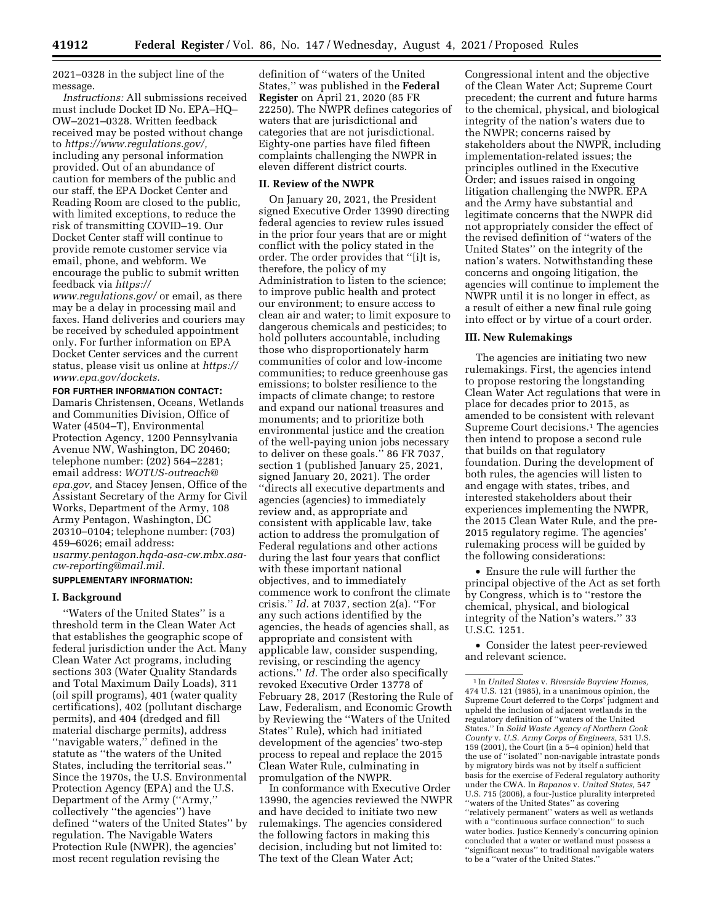2021–0328 in the subject line of the message.

*Instructions:* All submissions received must include Docket ID No. EPA–HQ– OW–2021–0328. Written feedback received may be posted without change to *[https://www.regulations.gov/,](https://www.regulations.gov/)*  including any personal information provided. Out of an abundance of caution for members of the public and our staff, the EPA Docket Center and Reading Room are closed to the public, with limited exceptions, to reduce the risk of transmitting COVID–19. Our Docket Center staff will continue to provide remote customer service via email, phone, and webform. We encourage the public to submit written feedback via *[https://](https://www.regulations.gov/)*

*[www.regulations.gov/](https://www.regulations.gov/)* or email, as there may be a delay in processing mail and faxes. Hand deliveries and couriers may be received by scheduled appointment only. For further information on EPA Docket Center services and the current status, please visit us online at *[https://](https://www.epa.gov/dockets) [www.epa.gov/dockets.](https://www.epa.gov/dockets)* 

**FOR FURTHER INFORMATION CONTACT:**  Damaris Christensen, Oceans, Wetlands and Communities Division, Office of Water (4504–T), Environmental Protection Agency, 1200 Pennsylvania Avenue NW, Washington, DC 20460; telephone number: (202) 564–2281; email address: *[WOTUS-outreach@](mailto:WOTUS-outreach@epa.gov) [epa.gov,](mailto:WOTUS-outreach@epa.gov)* and Stacey Jensen, Office of the Assistant Secretary of the Army for Civil Works, Department of the Army, 108 Army Pentagon, Washington, DC 20310–0104; telephone number: (703) 459–6026; email address: *[usarmy.pentagon.hqda-asa-cw.mbx.asa](mailto:usarmy.pentagon.hqda-asa-cw.mbx.asa-cw-reporting@mail.mil)[cw-reporting@mail.mil.](mailto:usarmy.pentagon.hqda-asa-cw.mbx.asa-cw-reporting@mail.mil)* 

#### **SUPPLEMENTARY INFORMATION:**

### **I. Background**

''Waters of the United States'' is a threshold term in the Clean Water Act that establishes the geographic scope of federal jurisdiction under the Act. Many Clean Water Act programs, including sections 303 (Water Quality Standards and Total Maximum Daily Loads), 311 (oil spill programs), 401 (water quality certifications), 402 (pollutant discharge permits), and 404 (dredged and fill material discharge permits), address ''navigable waters,'' defined in the statute as ''the waters of the United States, including the territorial seas.'' Since the 1970s, the U.S. Environmental Protection Agency (EPA) and the U.S. Department of the Army (''Army,'' collectively ''the agencies'') have defined ''waters of the United States'' by regulation. The Navigable Waters Protection Rule (NWPR), the agencies' most recent regulation revising the

definition of ''waters of the United States,'' was published in the **Federal Register** on April 21, 2020 (85 FR 22250). The NWPR defines categories of waters that are jurisdictional and categories that are not jurisdictional. Eighty-one parties have filed fifteen complaints challenging the NWPR in eleven different district courts.

# **II. Review of the NWPR**

On January 20, 2021, the President signed Executive Order 13990 directing federal agencies to review rules issued in the prior four years that are or might conflict with the policy stated in the order. The order provides that ''[i]t is, therefore, the policy of my Administration to listen to the science; to improve public health and protect our environment; to ensure access to clean air and water; to limit exposure to dangerous chemicals and pesticides; to hold polluters accountable, including those who disproportionately harm communities of color and low-income communities; to reduce greenhouse gas emissions; to bolster resilience to the impacts of climate change; to restore and expand our national treasures and monuments; and to prioritize both environmental justice and the creation of the well-paying union jobs necessary to deliver on these goals.'' 86 FR 7037, section 1 (published January 25, 2021, signed January 20, 2021). The order ''directs all executive departments and agencies (agencies) to immediately review and, as appropriate and consistent with applicable law, take action to address the promulgation of Federal regulations and other actions during the last four years that conflict with these important national objectives, and to immediately commence work to confront the climate crisis.'' *Id.* at 7037, section 2(a). ''For any such actions identified by the agencies, the heads of agencies shall, as appropriate and consistent with applicable law, consider suspending, revising, or rescinding the agency actions.'' *Id.* The order also specifically revoked Executive Order 13778 of February 28, 2017 (Restoring the Rule of Law, Federalism, and Economic Growth by Reviewing the ''Waters of the United States'' Rule), which had initiated development of the agencies' two-step process to repeal and replace the 2015 Clean Water Rule, culminating in promulgation of the NWPR.

In conformance with Executive Order 13990, the agencies reviewed the NWPR and have decided to initiate two new rulemakings. The agencies considered the following factors in making this decision, including but not limited to: The text of the Clean Water Act;

Congressional intent and the objective of the Clean Water Act; Supreme Court precedent; the current and future harms to the chemical, physical, and biological integrity of the nation's waters due to the NWPR; concerns raised by stakeholders about the NWPR, including implementation-related issues; the principles outlined in the Executive Order; and issues raised in ongoing litigation challenging the NWPR. EPA and the Army have substantial and legitimate concerns that the NWPR did not appropriately consider the effect of the revised definition of ''waters of the United States'' on the integrity of the nation's waters. Notwithstanding these concerns and ongoing litigation, the agencies will continue to implement the NWPR until it is no longer in effect, as a result of either a new final rule going into effect or by virtue of a court order.

#### **III. New Rulemakings**

The agencies are initiating two new rulemakings. First, the agencies intend to propose restoring the longstanding Clean Water Act regulations that were in place for decades prior to 2015, as amended to be consistent with relevant Supreme Court decisions.<sup>1</sup> The agencies then intend to propose a second rule that builds on that regulatory foundation. During the development of both rules, the agencies will listen to and engage with states, tribes, and interested stakeholders about their experiences implementing the NWPR, the 2015 Clean Water Rule, and the pre-2015 regulatory regime. The agencies' rulemaking process will be guided by the following considerations:

• Ensure the rule will further the principal objective of the Act as set forth by Congress, which is to ''restore the chemical, physical, and biological integrity of the Nation's waters.'' 33 U.S.C. 1251.

• Consider the latest peer-reviewed and relevant science.

<sup>1</sup> In *United States* v. *Riverside Bayview Homes,*  474 U.S. 121 (1985), in a unanimous opinion, the Supreme Court deferred to the Corps' judgment and upheld the inclusion of adjacent wetlands in the regulatory definition of ''waters of the United States.'' In *Solid Waste Agency of Northern Cook County* v. *U.S. Army Corps of Engineers,* 531 U.S. 159 (2001), the Court (in a 5–4 opinion) held that the use of ''isolated'' non-navigable intrastate ponds by migratory birds was not by itself a sufficient basis for the exercise of Federal regulatory authority under the CWA. In *Rapanos* v. *United States,* 547 U.S. 715 (2006), a four-Justice plurality interpreted ''waters of the United States'' as covering ''relatively permanent'' waters as well as wetlands with a ''continuous surface connection'' to such water bodies. Justice Kennedy's concurring opinion concluded that a water or wetland must possess a ''significant nexus'' to traditional navigable waters to be a ''water of the United States.''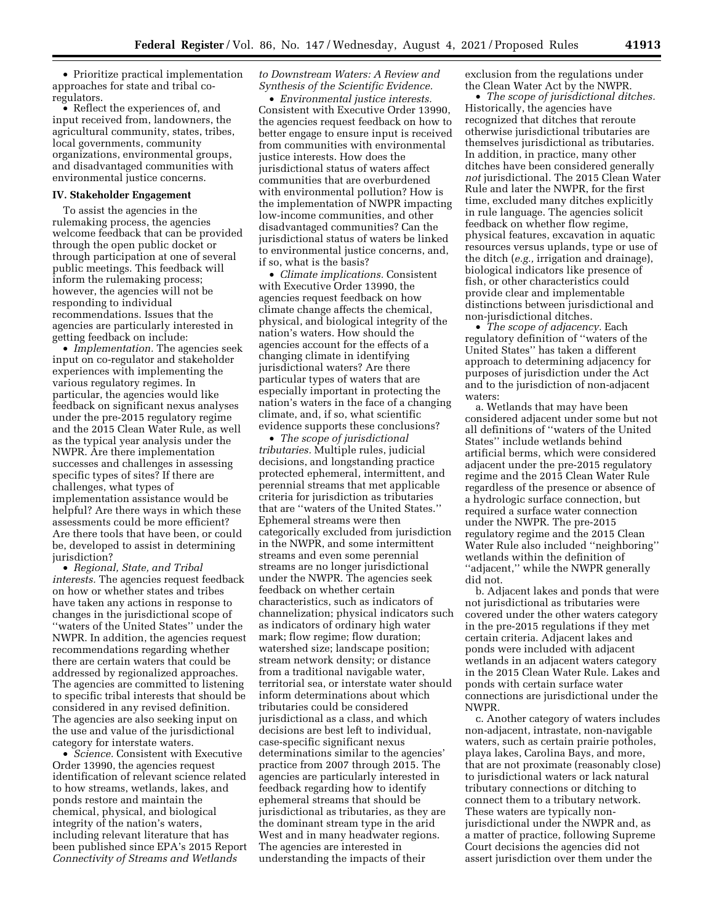• Prioritize practical implementation approaches for state and tribal coregulators.

• Reflect the experiences of, and input received from, landowners, the agricultural community, states, tribes, local governments, community organizations, environmental groups, and disadvantaged communities with environmental justice concerns.

#### **IV. Stakeholder Engagement**

To assist the agencies in the rulemaking process, the agencies welcome feedback that can be provided through the open public docket or through participation at one of several public meetings. This feedback will inform the rulemaking process; however, the agencies will not be responding to individual recommendations. Issues that the agencies are particularly interested in getting feedback on include:

• *Implementation.* The agencies seek input on co-regulator and stakeholder experiences with implementing the various regulatory regimes. In particular, the agencies would like feedback on significant nexus analyses under the pre-2015 regulatory regime and the 2015 Clean Water Rule, as well as the typical year analysis under the NWPR. Are there implementation successes and challenges in assessing specific types of sites? If there are challenges, what types of implementation assistance would be helpful? Are there ways in which these assessments could be more efficient? Are there tools that have been, or could be, developed to assist in determining jurisdiction?

• *Regional, State, and Tribal interests.* The agencies request feedback on how or whether states and tribes have taken any actions in response to changes in the jurisdictional scope of ''waters of the United States'' under the NWPR. In addition, the agencies request recommendations regarding whether there are certain waters that could be addressed by regionalized approaches. The agencies are committed to listening to specific tribal interests that should be considered in any revised definition. The agencies are also seeking input on the use and value of the jurisdictional category for interstate waters.

• *Science.* Consistent with Executive Order 13990, the agencies request identification of relevant science related to how streams, wetlands, lakes, and ponds restore and maintain the chemical, physical, and biological integrity of the nation's waters, including relevant literature that has been published since EPA's 2015 Report *Connectivity of Streams and Wetlands* 

*to Downstream Waters: A Review and Synthesis of the Scientific Evidence.* 

• *Environmental justice interests.*  Consistent with Executive Order 13990, the agencies request feedback on how to better engage to ensure input is received from communities with environmental justice interests. How does the jurisdictional status of waters affect communities that are overburdened with environmental pollution? How is the implementation of NWPR impacting low-income communities, and other disadvantaged communities? Can the jurisdictional status of waters be linked to environmental justice concerns, and, if so, what is the basis?

• *Climate implications.* Consistent with Executive Order 13990, the agencies request feedback on how climate change affects the chemical, physical, and biological integrity of the nation's waters. How should the agencies account for the effects of a changing climate in identifying jurisdictional waters? Are there particular types of waters that are especially important in protecting the nation's waters in the face of a changing climate, and, if so, what scientific evidence supports these conclusions?

• *The scope of jurisdictional tributaries.* Multiple rules, judicial decisions, and longstanding practice protected ephemeral, intermittent, and perennial streams that met applicable criteria for jurisdiction as tributaries that are ''waters of the United States.'' Ephemeral streams were then categorically excluded from jurisdiction in the NWPR, and some intermittent streams and even some perennial streams are no longer jurisdictional under the NWPR. The agencies seek feedback on whether certain characteristics, such as indicators of channelization; physical indicators such as indicators of ordinary high water mark; flow regime; flow duration; watershed size; landscape position; stream network density; or distance from a traditional navigable water, territorial sea, or interstate water should inform determinations about which tributaries could be considered jurisdictional as a class, and which decisions are best left to individual, case-specific significant nexus determinations similar to the agencies' practice from 2007 through 2015. The agencies are particularly interested in feedback regarding how to identify ephemeral streams that should be jurisdictional as tributaries, as they are the dominant stream type in the arid West and in many headwater regions. The agencies are interested in understanding the impacts of their

exclusion from the regulations under the Clean Water Act by the NWPR.

• *The scope of jurisdictional ditches.*  Historically, the agencies have recognized that ditches that reroute otherwise jurisdictional tributaries are themselves jurisdictional as tributaries. In addition, in practice, many other ditches have been considered generally *not* jurisdictional. The 2015 Clean Water Rule and later the NWPR, for the first time, excluded many ditches explicitly in rule language. The agencies solicit feedback on whether flow regime, physical features, excavation in aquatic resources versus uplands, type or use of the ditch (*e.g.,* irrigation and drainage), biological indicators like presence of fish, or other characteristics could provide clear and implementable distinctions between jurisdictional and non-jurisdictional ditches.

• *The scope of adjacency.* Each regulatory definition of ''waters of the United States'' has taken a different approach to determining adjacency for purposes of jurisdiction under the Act and to the jurisdiction of non-adjacent waters:

a. Wetlands that may have been considered adjacent under some but not all definitions of ''waters of the United States'' include wetlands behind artificial berms, which were considered adjacent under the pre-2015 regulatory regime and the 2015 Clean Water Rule regardless of the presence or absence of a hydrologic surface connection, but required a surface water connection under the NWPR. The pre-2015 regulatory regime and the 2015 Clean Water Rule also included ''neighboring'' wetlands within the definition of ''adjacent,'' while the NWPR generally did not.

b. Adjacent lakes and ponds that were not jurisdictional as tributaries were covered under the other waters category in the pre-2015 regulations if they met certain criteria. Adjacent lakes and ponds were included with adjacent wetlands in an adjacent waters category in the 2015 Clean Water Rule. Lakes and ponds with certain surface water connections are jurisdictional under the NWPR.

c. Another category of waters includes non-adjacent, intrastate, non-navigable waters, such as certain prairie potholes, playa lakes, Carolina Bays, and more, that are not proximate (reasonably close) to jurisdictional waters or lack natural tributary connections or ditching to connect them to a tributary network. These waters are typically nonjurisdictional under the NWPR and, as a matter of practice, following Supreme Court decisions the agencies did not assert jurisdiction over them under the